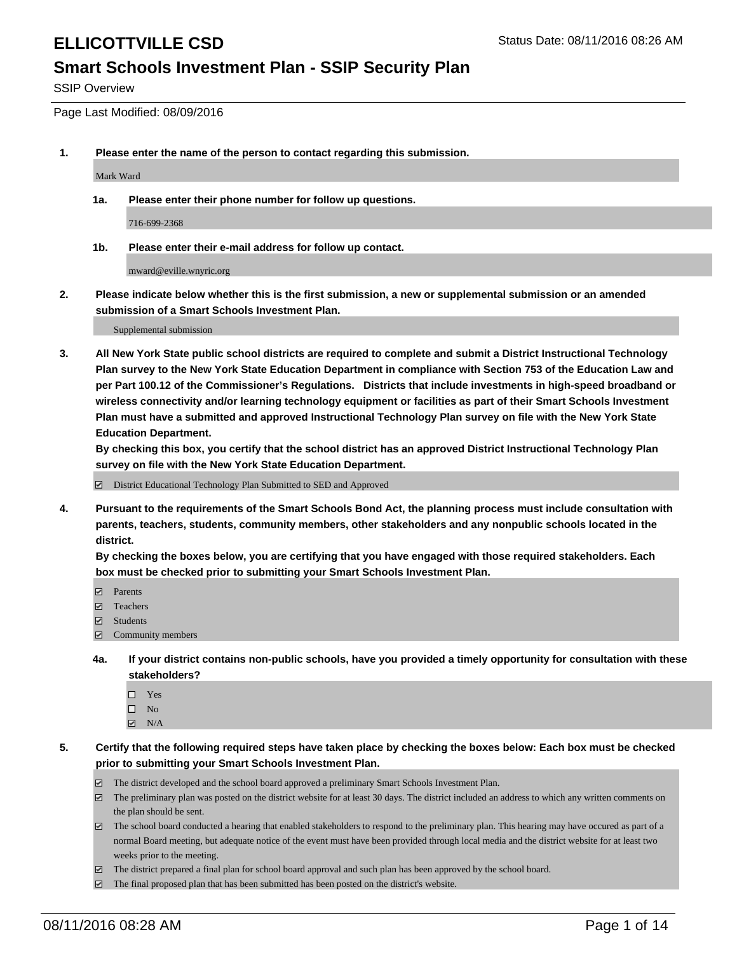#### **Smart Schools Investment Plan - SSIP Security Plan**

SSIP Overview

Page Last Modified: 08/09/2016

**1. Please enter the name of the person to contact regarding this submission.**

Mark Ward

**1a. Please enter their phone number for follow up questions.**

716-699-2368

**1b. Please enter their e-mail address for follow up contact.**

mward@eville.wnyric.org

**2. Please indicate below whether this is the first submission, a new or supplemental submission or an amended submission of a Smart Schools Investment Plan.**

Supplemental submission

**3. All New York State public school districts are required to complete and submit a District Instructional Technology Plan survey to the New York State Education Department in compliance with Section 753 of the Education Law and per Part 100.12 of the Commissioner's Regulations. Districts that include investments in high-speed broadband or wireless connectivity and/or learning technology equipment or facilities as part of their Smart Schools Investment Plan must have a submitted and approved Instructional Technology Plan survey on file with the New York State Education Department.** 

**By checking this box, you certify that the school district has an approved District Instructional Technology Plan survey on file with the New York State Education Department.**

District Educational Technology Plan Submitted to SED and Approved

**4. Pursuant to the requirements of the Smart Schools Bond Act, the planning process must include consultation with parents, teachers, students, community members, other stakeholders and any nonpublic schools located in the district.** 

**By checking the boxes below, you are certifying that you have engaged with those required stakeholders. Each box must be checked prior to submitting your Smart Schools Investment Plan.**

- **Parents**
- □ Teachers
- $\blacksquare$  Students
- Community members
- **4a. If your district contains non-public schools, have you provided a timely opportunity for consultation with these stakeholders?**
	- $\Box$  Yes  $\square$  No
	- $\boxtimes$  N/A
- **5. Certify that the following required steps have taken place by checking the boxes below: Each box must be checked prior to submitting your Smart Schools Investment Plan.**
	- The district developed and the school board approved a preliminary Smart Schools Investment Plan.
	- $\boxdot$  The preliminary plan was posted on the district website for at least 30 days. The district included an address to which any written comments on the plan should be sent.
	- $\Box$  The school board conducted a hearing that enabled stakeholders to respond to the preliminary plan. This hearing may have occured as part of a normal Board meeting, but adequate notice of the event must have been provided through local media and the district website for at least two weeks prior to the meeting.
	- The district prepared a final plan for school board approval and such plan has been approved by the school board.
	- $\boxdot$  The final proposed plan that has been submitted has been posted on the district's website.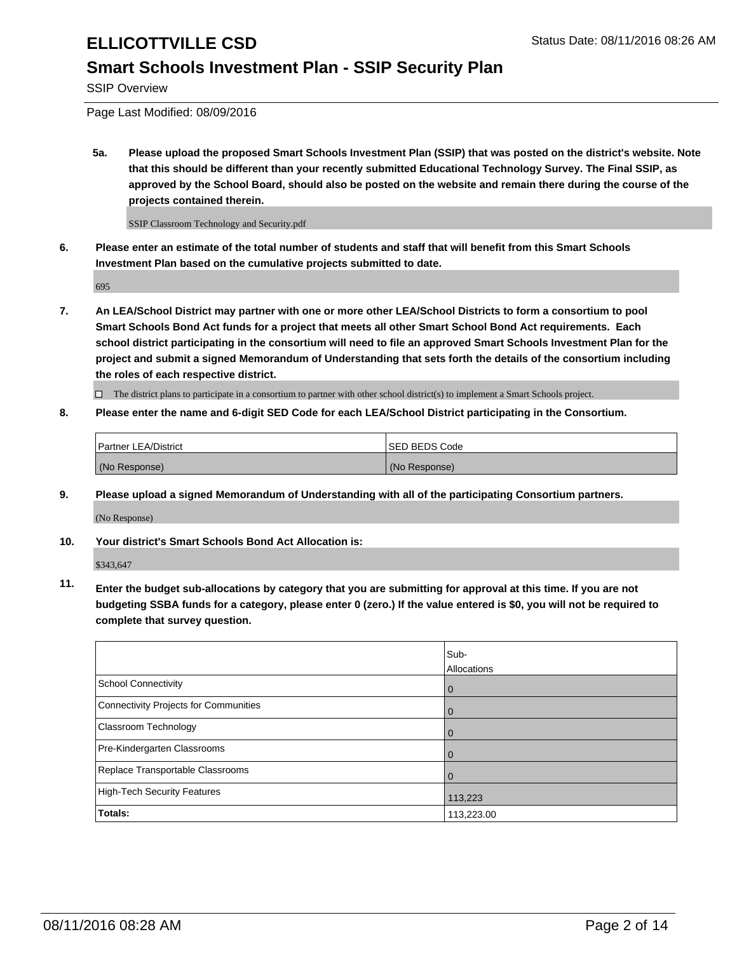### **Smart Schools Investment Plan - SSIP Security Plan**

SSIP Overview

Page Last Modified: 08/09/2016

**5a. Please upload the proposed Smart Schools Investment Plan (SSIP) that was posted on the district's website. Note that this should be different than your recently submitted Educational Technology Survey. The Final SSIP, as approved by the School Board, should also be posted on the website and remain there during the course of the projects contained therein.**

SSIP Classroom Technology and Security.pdf

**6. Please enter an estimate of the total number of students and staff that will benefit from this Smart Schools Investment Plan based on the cumulative projects submitted to date.**

695

**7. An LEA/School District may partner with one or more other LEA/School Districts to form a consortium to pool Smart Schools Bond Act funds for a project that meets all other Smart School Bond Act requirements. Each school district participating in the consortium will need to file an approved Smart Schools Investment Plan for the project and submit a signed Memorandum of Understanding that sets forth the details of the consortium including the roles of each respective district.**

 $\Box$  The district plans to participate in a consortium to partner with other school district(s) to implement a Smart Schools project.

#### **8. Please enter the name and 6-digit SED Code for each LEA/School District participating in the Consortium.**

| <b>Partner LEA/District</b> | <b>ISED BEDS Code</b> |
|-----------------------------|-----------------------|
| (No Response)               | (No Response)         |

**9. Please upload a signed Memorandum of Understanding with all of the participating Consortium partners.**

(No Response)

**10. Your district's Smart Schools Bond Act Allocation is:**

\$343,647

**11. Enter the budget sub-allocations by category that you are submitting for approval at this time. If you are not budgeting SSBA funds for a category, please enter 0 (zero.) If the value entered is \$0, you will not be required to complete that survey question.**

|                                       | Sub-<br>Allocations |
|---------------------------------------|---------------------|
| <b>School Connectivity</b>            |                     |
|                                       | 0                   |
| Connectivity Projects for Communities | $\Omega$            |
| Classroom Technology                  | 0                   |
| Pre-Kindergarten Classrooms           | $\Omega$            |
| Replace Transportable Classrooms      | 0                   |
| High-Tech Security Features           | 113,223             |
| Totals:                               | 113,223.00          |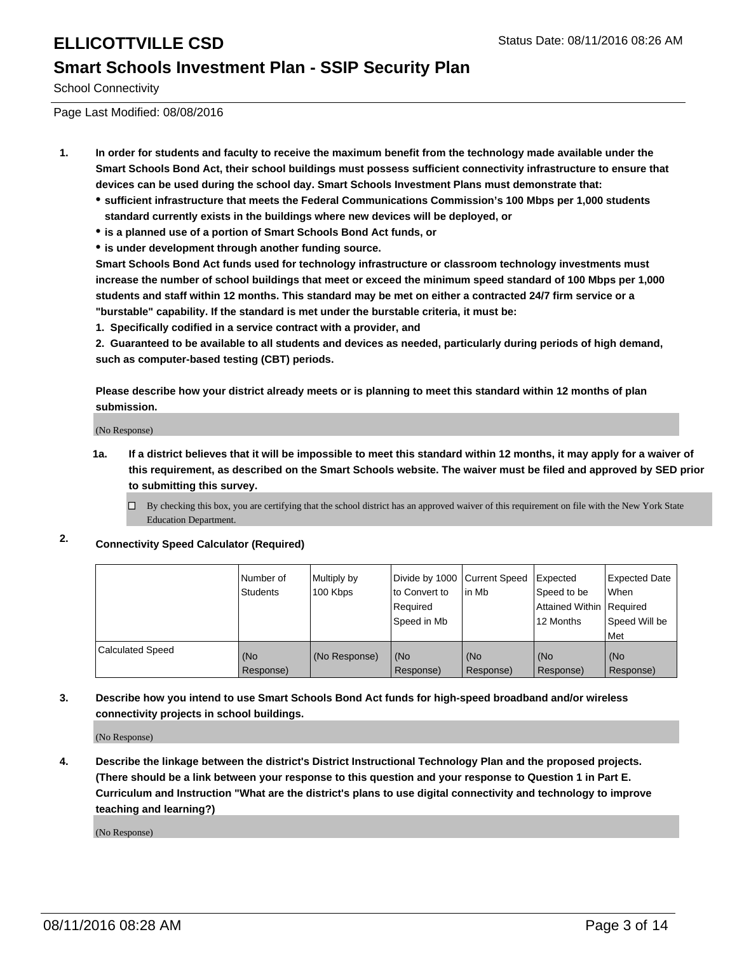### **Smart Schools Investment Plan - SSIP Security Plan**

School Connectivity

Page Last Modified: 08/08/2016

- **1. In order for students and faculty to receive the maximum benefit from the technology made available under the Smart Schools Bond Act, their school buildings must possess sufficient connectivity infrastructure to ensure that devices can be used during the school day. Smart Schools Investment Plans must demonstrate that:**
	- **sufficient infrastructure that meets the Federal Communications Commission's 100 Mbps per 1,000 students standard currently exists in the buildings where new devices will be deployed, or**
	- **is a planned use of a portion of Smart Schools Bond Act funds, or**
	- **is under development through another funding source.**

**Smart Schools Bond Act funds used for technology infrastructure or classroom technology investments must increase the number of school buildings that meet or exceed the minimum speed standard of 100 Mbps per 1,000 students and staff within 12 months. This standard may be met on either a contracted 24/7 firm service or a "burstable" capability. If the standard is met under the burstable criteria, it must be:**

**1. Specifically codified in a service contract with a provider, and**

**2. Guaranteed to be available to all students and devices as needed, particularly during periods of high demand, such as computer-based testing (CBT) periods.**

**Please describe how your district already meets or is planning to meet this standard within 12 months of plan submission.**

(No Response)

- **1a. If a district believes that it will be impossible to meet this standard within 12 months, it may apply for a waiver of this requirement, as described on the Smart Schools website. The waiver must be filed and approved by SED prior to submitting this survey.**
	- $\Box$  By checking this box, you are certifying that the school district has an approved waiver of this requirement on file with the New York State Education Department.
- **2. Connectivity Speed Calculator (Required)**

|                         | l Number of<br><b>Students</b> | Multiply by<br>100 Kbps | Divide by 1000 Current Speed<br>to Convert to<br>Reauired<br>Speed in Mb | lin Mb           | Expected<br>Speed to be<br>Attained Within   Required<br>12 Months | <b>Expected Date</b><br><b>When</b><br>Speed Will be<br>l Met |
|-------------------------|--------------------------------|-------------------------|--------------------------------------------------------------------------|------------------|--------------------------------------------------------------------|---------------------------------------------------------------|
| <b>Calculated Speed</b> | (No<br>Response)               | (No Response)           | (No<br>Response)                                                         | (No<br>Response) | (No<br>Response)                                                   | l (No<br>Response)                                            |

#### **3. Describe how you intend to use Smart Schools Bond Act funds for high-speed broadband and/or wireless connectivity projects in school buildings.**

(No Response)

**4. Describe the linkage between the district's District Instructional Technology Plan and the proposed projects. (There should be a link between your response to this question and your response to Question 1 in Part E. Curriculum and Instruction "What are the district's plans to use digital connectivity and technology to improve teaching and learning?)**

(No Response)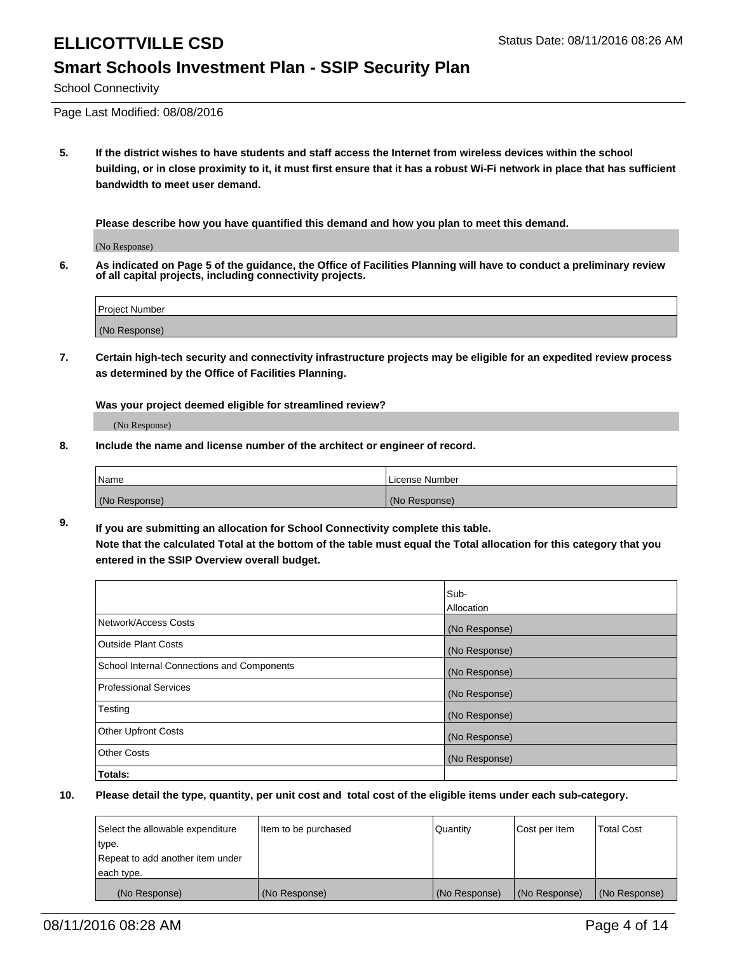#### **Smart Schools Investment Plan - SSIP Security Plan**

School Connectivity

Page Last Modified: 08/08/2016

**5. If the district wishes to have students and staff access the Internet from wireless devices within the school building, or in close proximity to it, it must first ensure that it has a robust Wi-Fi network in place that has sufficient bandwidth to meet user demand.**

**Please describe how you have quantified this demand and how you plan to meet this demand.**

(No Response)

**6. As indicated on Page 5 of the guidance, the Office of Facilities Planning will have to conduct a preliminary review of all capital projects, including connectivity projects.**

| <b>Project Number</b> |  |
|-----------------------|--|
|                       |  |
| (No Response)         |  |

**7. Certain high-tech security and connectivity infrastructure projects may be eligible for an expedited review process as determined by the Office of Facilities Planning.**

**Was your project deemed eligible for streamlined review?**

(No Response)

**8. Include the name and license number of the architect or engineer of record.**

| <b>Name</b>   | License Number |
|---------------|----------------|
| (No Response) | (No Response)  |

**9. If you are submitting an allocation for School Connectivity complete this table. Note that the calculated Total at the bottom of the table must equal the Total allocation for this category that you entered in the SSIP Overview overall budget.** 

|                                            | Sub-          |
|--------------------------------------------|---------------|
|                                            | Allocation    |
| Network/Access Costs                       | (No Response) |
| <b>Outside Plant Costs</b>                 | (No Response) |
| School Internal Connections and Components | (No Response) |
| Professional Services                      | (No Response) |
| Testing                                    | (No Response) |
| <b>Other Upfront Costs</b>                 | (No Response) |
| <b>Other Costs</b>                         | (No Response) |
| Totals:                                    |               |

| Select the allowable expenditure | Item to be purchased | <b>Quantity</b> | Cost per Item | <b>Total Cost</b> |
|----------------------------------|----------------------|-----------------|---------------|-------------------|
| type.                            |                      |                 |               |                   |
| Repeat to add another item under |                      |                 |               |                   |
| each type.                       |                      |                 |               |                   |
| (No Response)                    | (No Response)        | (No Response)   | (No Response) | (No Response)     |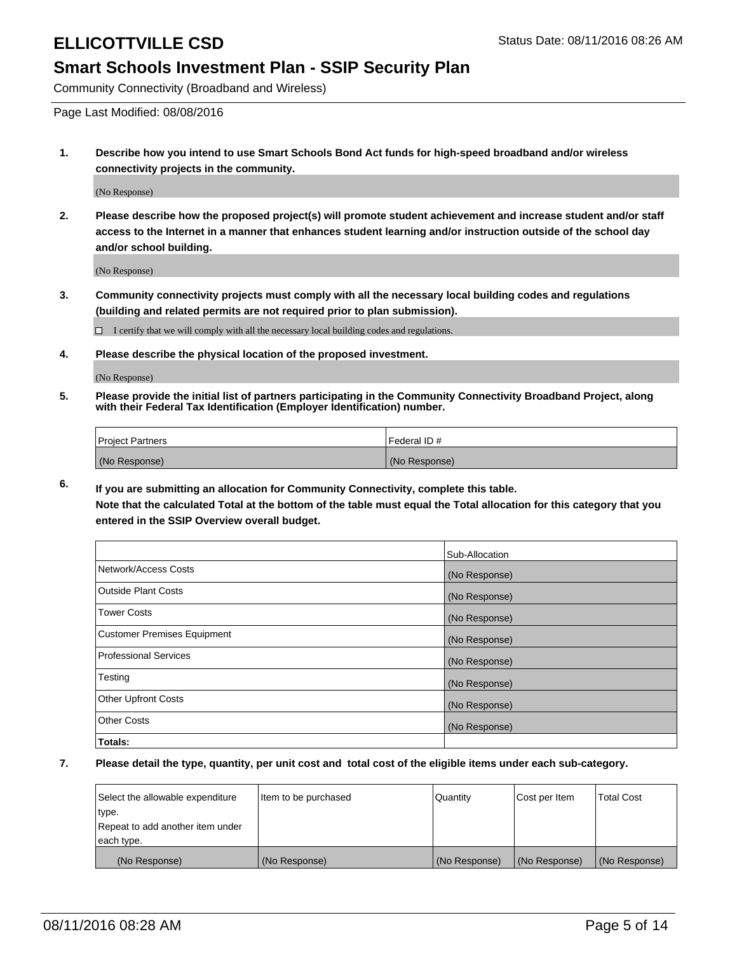#### **Smart Schools Investment Plan - SSIP Security Plan**

Community Connectivity (Broadband and Wireless)

Page Last Modified: 08/08/2016

**1. Describe how you intend to use Smart Schools Bond Act funds for high-speed broadband and/or wireless connectivity projects in the community.**

(No Response)

**2. Please describe how the proposed project(s) will promote student achievement and increase student and/or staff access to the Internet in a manner that enhances student learning and/or instruction outside of the school day and/or school building.**

(No Response)

**3. Community connectivity projects must comply with all the necessary local building codes and regulations (building and related permits are not required prior to plan submission).**

 $\Box$  I certify that we will comply with all the necessary local building codes and regulations.

**4. Please describe the physical location of the proposed investment.**

(No Response)

**5. Please provide the initial list of partners participating in the Community Connectivity Broadband Project, along with their Federal Tax Identification (Employer Identification) number.**

| Project Partners | <b>IFederal ID#</b> |
|------------------|---------------------|
| (No Response)    | (No Response)       |

**6. If you are submitting an allocation for Community Connectivity, complete this table. Note that the calculated Total at the bottom of the table must equal the Total allocation for this category that you**

**entered in the SSIP Overview overall budget.**

|                             | Sub-Allocation |
|-----------------------------|----------------|
| Network/Access Costs        | (No Response)  |
| Outside Plant Costs         | (No Response)  |
| <b>Tower Costs</b>          | (No Response)  |
| Customer Premises Equipment | (No Response)  |
| Professional Services       | (No Response)  |
| Testing                     | (No Response)  |
| Other Upfront Costs         | (No Response)  |
| Other Costs                 | (No Response)  |
| Totals:                     |                |

| Select the allowable expenditure | Item to be purchased | Quantity      | Cost per Item | <b>Total Cost</b> |
|----------------------------------|----------------------|---------------|---------------|-------------------|
| type.                            |                      |               |               |                   |
| Repeat to add another item under |                      |               |               |                   |
| each type.                       |                      |               |               |                   |
| (No Response)                    | (No Response)        | (No Response) | (No Response) | (No Response)     |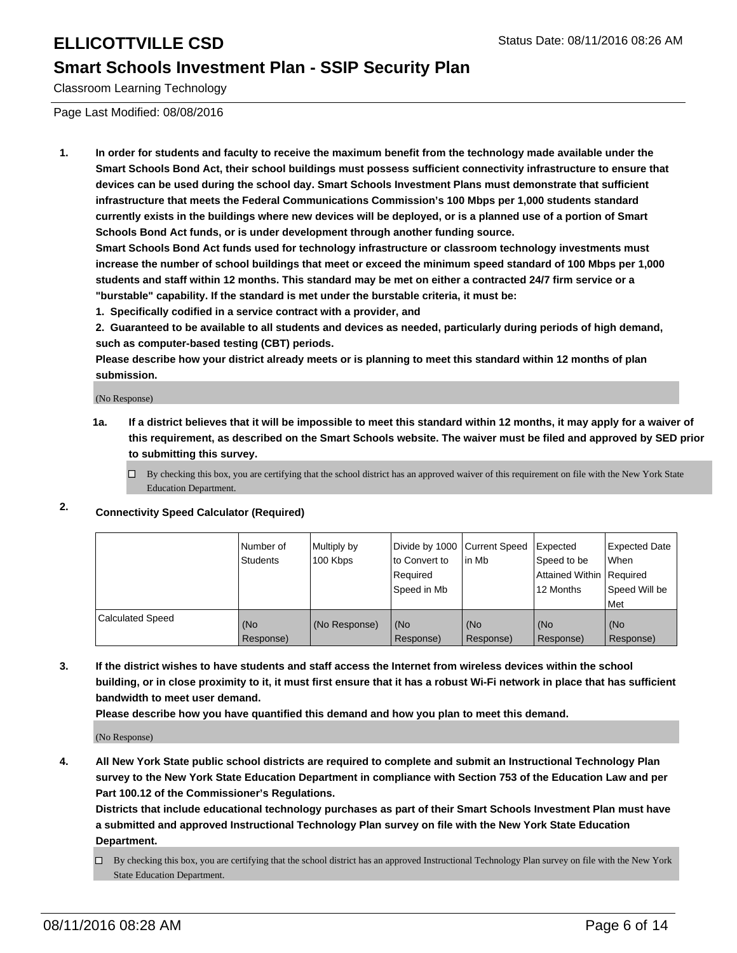#### **Smart Schools Investment Plan - SSIP Security Plan**

Classroom Learning Technology

Page Last Modified: 08/08/2016

**1. In order for students and faculty to receive the maximum benefit from the technology made available under the Smart Schools Bond Act, their school buildings must possess sufficient connectivity infrastructure to ensure that devices can be used during the school day. Smart Schools Investment Plans must demonstrate that sufficient infrastructure that meets the Federal Communications Commission's 100 Mbps per 1,000 students standard currently exists in the buildings where new devices will be deployed, or is a planned use of a portion of Smart Schools Bond Act funds, or is under development through another funding source.**

**Smart Schools Bond Act funds used for technology infrastructure or classroom technology investments must increase the number of school buildings that meet or exceed the minimum speed standard of 100 Mbps per 1,000 students and staff within 12 months. This standard may be met on either a contracted 24/7 firm service or a "burstable" capability. If the standard is met under the burstable criteria, it must be:**

**1. Specifically codified in a service contract with a provider, and**

**2. Guaranteed to be available to all students and devices as needed, particularly during periods of high demand, such as computer-based testing (CBT) periods.**

**Please describe how your district already meets or is planning to meet this standard within 12 months of plan submission.**

(No Response)

- **1a. If a district believes that it will be impossible to meet this standard within 12 months, it may apply for a waiver of this requirement, as described on the Smart Schools website. The waiver must be filed and approved by SED prior to submitting this survey.**
	- $\Box$  By checking this box, you are certifying that the school district has an approved waiver of this requirement on file with the New York State Education Department.
- **2. Connectivity Speed Calculator (Required)**

|                         | l Number of<br>Students | Multiply by<br>100 Kbps | Divide by 1000 Current Speed<br>to Convert to<br>l Reauired<br>Speed in Mb | lin Mb           | Expected<br>Speed to be<br>Attained Within   Required<br>12 Months | Expected Date<br>l When<br>Speed Will be<br>l Met |
|-------------------------|-------------------------|-------------------------|----------------------------------------------------------------------------|------------------|--------------------------------------------------------------------|---------------------------------------------------|
| <b>Calculated Speed</b> | (No<br>Response)        | (No Response)           | (No<br>Response)                                                           | (No<br>Response) | (No<br>Response)                                                   | (No<br>Response)                                  |

**3. If the district wishes to have students and staff access the Internet from wireless devices within the school building, or in close proximity to it, it must first ensure that it has a robust Wi-Fi network in place that has sufficient bandwidth to meet user demand.**

**Please describe how you have quantified this demand and how you plan to meet this demand.**

(No Response)

**4. All New York State public school districts are required to complete and submit an Instructional Technology Plan survey to the New York State Education Department in compliance with Section 753 of the Education Law and per Part 100.12 of the Commissioner's Regulations.**

**Districts that include educational technology purchases as part of their Smart Schools Investment Plan must have a submitted and approved Instructional Technology Plan survey on file with the New York State Education Department.**

By checking this box, you are certifying that the school district has an approved Instructional Technology Plan survey on file with the New York State Education Department.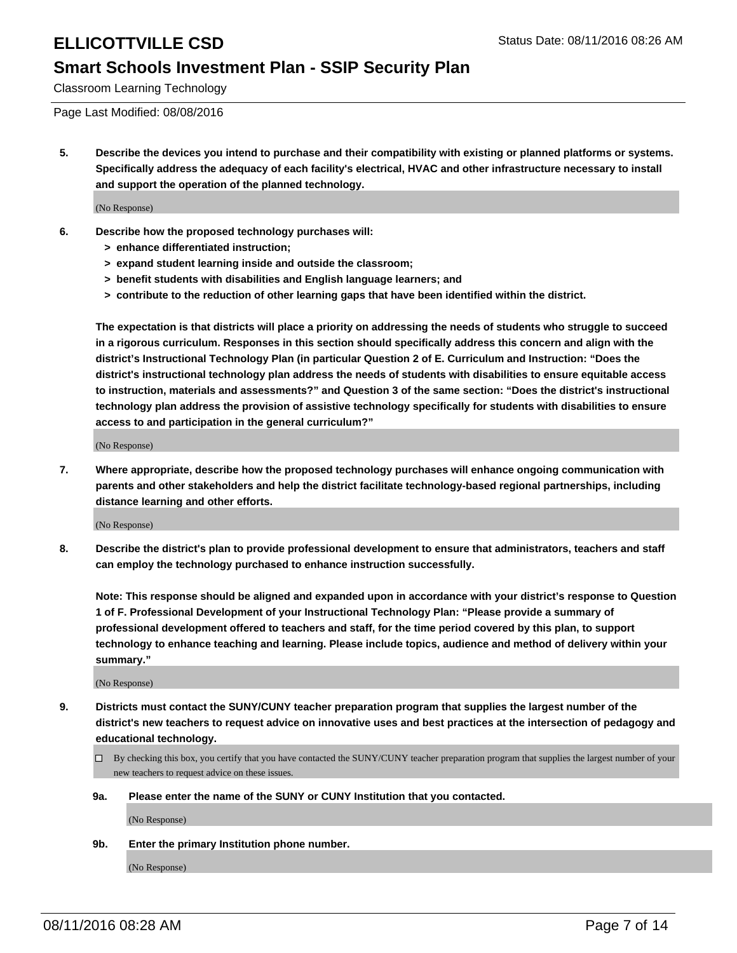#### **Smart Schools Investment Plan - SSIP Security Plan**

Classroom Learning Technology

Page Last Modified: 08/08/2016

**5. Describe the devices you intend to purchase and their compatibility with existing or planned platforms or systems. Specifically address the adequacy of each facility's electrical, HVAC and other infrastructure necessary to install and support the operation of the planned technology.**

(No Response)

- **6. Describe how the proposed technology purchases will:**
	- **> enhance differentiated instruction;**
	- **> expand student learning inside and outside the classroom;**
	- **> benefit students with disabilities and English language learners; and**
	- **> contribute to the reduction of other learning gaps that have been identified within the district.**

**The expectation is that districts will place a priority on addressing the needs of students who struggle to succeed in a rigorous curriculum. Responses in this section should specifically address this concern and align with the district's Instructional Technology Plan (in particular Question 2 of E. Curriculum and Instruction: "Does the district's instructional technology plan address the needs of students with disabilities to ensure equitable access to instruction, materials and assessments?" and Question 3 of the same section: "Does the district's instructional technology plan address the provision of assistive technology specifically for students with disabilities to ensure access to and participation in the general curriculum?"**

(No Response)

**7. Where appropriate, describe how the proposed technology purchases will enhance ongoing communication with parents and other stakeholders and help the district facilitate technology-based regional partnerships, including distance learning and other efforts.**

(No Response)

**8. Describe the district's plan to provide professional development to ensure that administrators, teachers and staff can employ the technology purchased to enhance instruction successfully.**

**Note: This response should be aligned and expanded upon in accordance with your district's response to Question 1 of F. Professional Development of your Instructional Technology Plan: "Please provide a summary of professional development offered to teachers and staff, for the time period covered by this plan, to support technology to enhance teaching and learning. Please include topics, audience and method of delivery within your summary."**

(No Response)

- **9. Districts must contact the SUNY/CUNY teacher preparation program that supplies the largest number of the district's new teachers to request advice on innovative uses and best practices at the intersection of pedagogy and educational technology.**
	- $\square$  By checking this box, you certify that you have contacted the SUNY/CUNY teacher preparation program that supplies the largest number of your new teachers to request advice on these issues.
	- **9a. Please enter the name of the SUNY or CUNY Institution that you contacted.**

(No Response)

**9b. Enter the primary Institution phone number.**

(No Response)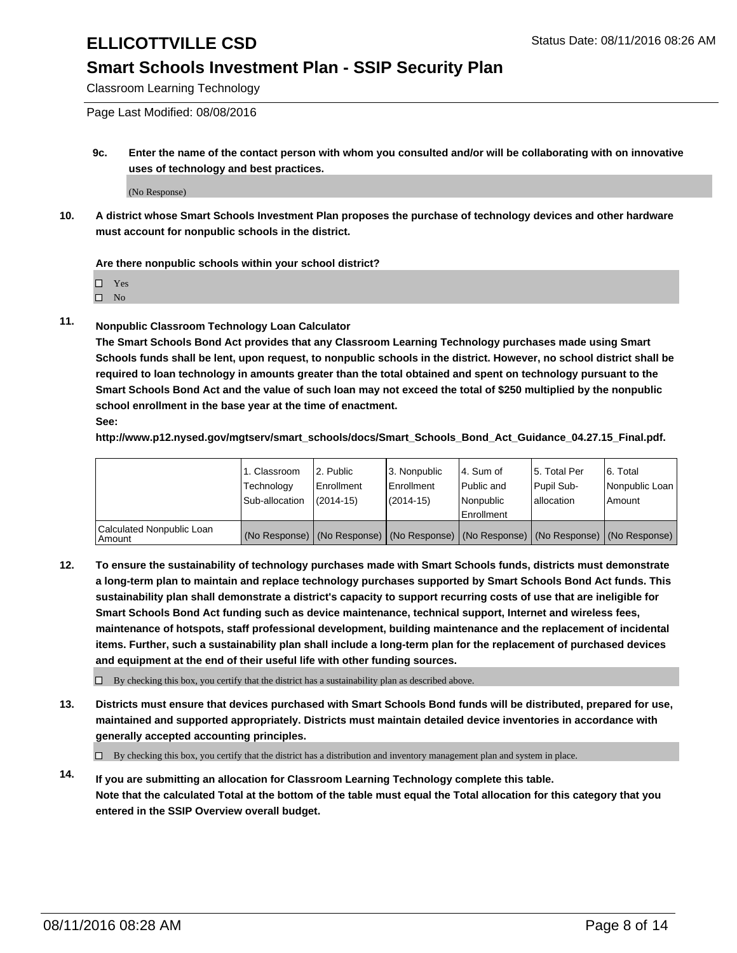### **Smart Schools Investment Plan - SSIP Security Plan**

Classroom Learning Technology

Page Last Modified: 08/08/2016

**9c. Enter the name of the contact person with whom you consulted and/or will be collaborating with on innovative uses of technology and best practices.**

(No Response)

**10. A district whose Smart Schools Investment Plan proposes the purchase of technology devices and other hardware must account for nonpublic schools in the district.**

**Are there nonpublic schools within your school district?**

□ Yes

 $\hfill \square$  No

**11. Nonpublic Classroom Technology Loan Calculator**

**The Smart Schools Bond Act provides that any Classroom Learning Technology purchases made using Smart Schools funds shall be lent, upon request, to nonpublic schools in the district. However, no school district shall be required to loan technology in amounts greater than the total obtained and spent on technology pursuant to the Smart Schools Bond Act and the value of such loan may not exceed the total of \$250 multiplied by the nonpublic school enrollment in the base year at the time of enactment. See:**

**http://www.p12.nysed.gov/mgtserv/smart\_schools/docs/Smart\_Schools\_Bond\_Act\_Guidance\_04.27.15\_Final.pdf.**

|                                         | 1. Classroom   | 2. Public         | 3. Nonpublic                                                                                  | l 4. Sum of  | 5. Total Per | 6. Total       |
|-----------------------------------------|----------------|-------------------|-----------------------------------------------------------------------------------------------|--------------|--------------|----------------|
|                                         | Technology     | <b>Enrollment</b> | Enrollment                                                                                    | l Public and | Pupil Sub-   | Nonpublic Loan |
|                                         | Sub-allocation | $(2014 - 15)$     | $(2014-15)$                                                                                   | Nonpublic    | lallocation  | Amount         |
| Calculated Nonpublic Loan<br>l Amount i |                |                   | (No Response)   (No Response)   (No Response)   (No Response)   (No Response)   (No Response) | Enrollment   |              |                |

**12. To ensure the sustainability of technology purchases made with Smart Schools funds, districts must demonstrate a long-term plan to maintain and replace technology purchases supported by Smart Schools Bond Act funds. This sustainability plan shall demonstrate a district's capacity to support recurring costs of use that are ineligible for Smart Schools Bond Act funding such as device maintenance, technical support, Internet and wireless fees, maintenance of hotspots, staff professional development, building maintenance and the replacement of incidental items. Further, such a sustainability plan shall include a long-term plan for the replacement of purchased devices and equipment at the end of their useful life with other funding sources.**

 $\square$  By checking this box, you certify that the district has a sustainability plan as described above.

**13. Districts must ensure that devices purchased with Smart Schools Bond funds will be distributed, prepared for use, maintained and supported appropriately. Districts must maintain detailed device inventories in accordance with generally accepted accounting principles.**

 $\Box$  By checking this box, you certify that the district has a distribution and inventory management plan and system in place.

**14. If you are submitting an allocation for Classroom Learning Technology complete this table. Note that the calculated Total at the bottom of the table must equal the Total allocation for this category that you entered in the SSIP Overview overall budget.**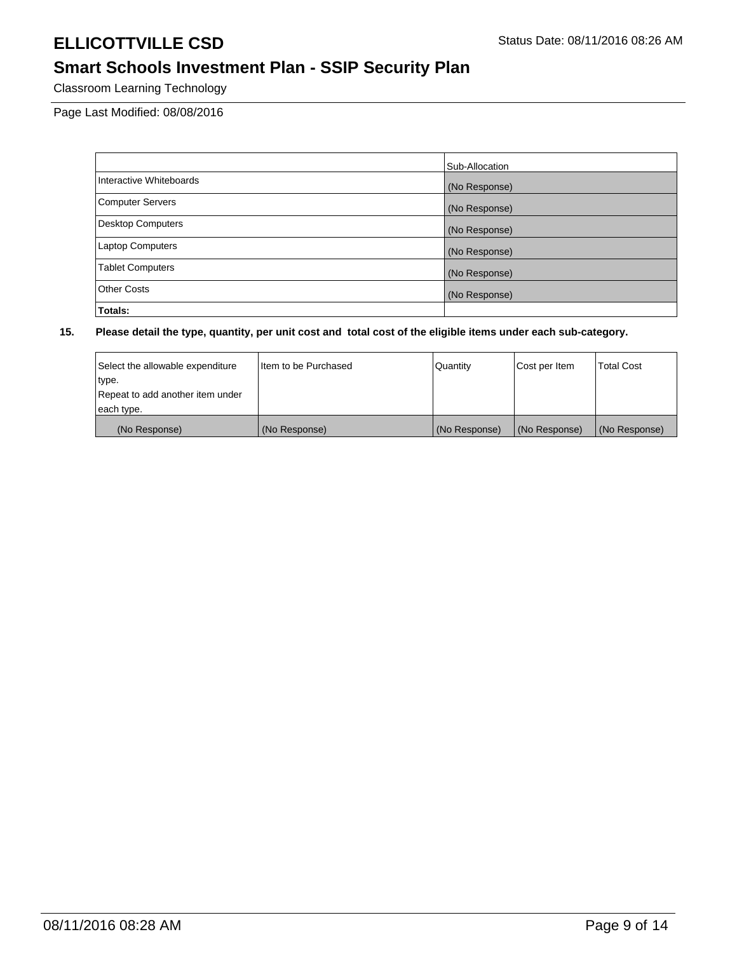# **Smart Schools Investment Plan - SSIP Security Plan**

Classroom Learning Technology

Page Last Modified: 08/08/2016

|                          | Sub-Allocation |
|--------------------------|----------------|
| Interactive Whiteboards  | (No Response)  |
| <b>Computer Servers</b>  | (No Response)  |
| <b>Desktop Computers</b> | (No Response)  |
| <b>Laptop Computers</b>  | (No Response)  |
| <b>Tablet Computers</b>  | (No Response)  |
| Other Costs              | (No Response)  |
| Totals:                  |                |

| Select the allowable expenditure | I Item to be Purchased | Quantity      | Cost per Item | <b>Total Cost</b> |
|----------------------------------|------------------------|---------------|---------------|-------------------|
| type.                            |                        |               |               |                   |
| Repeat to add another item under |                        |               |               |                   |
| each type.                       |                        |               |               |                   |
| (No Response)                    | (No Response)          | (No Response) | (No Response) | (No Response)     |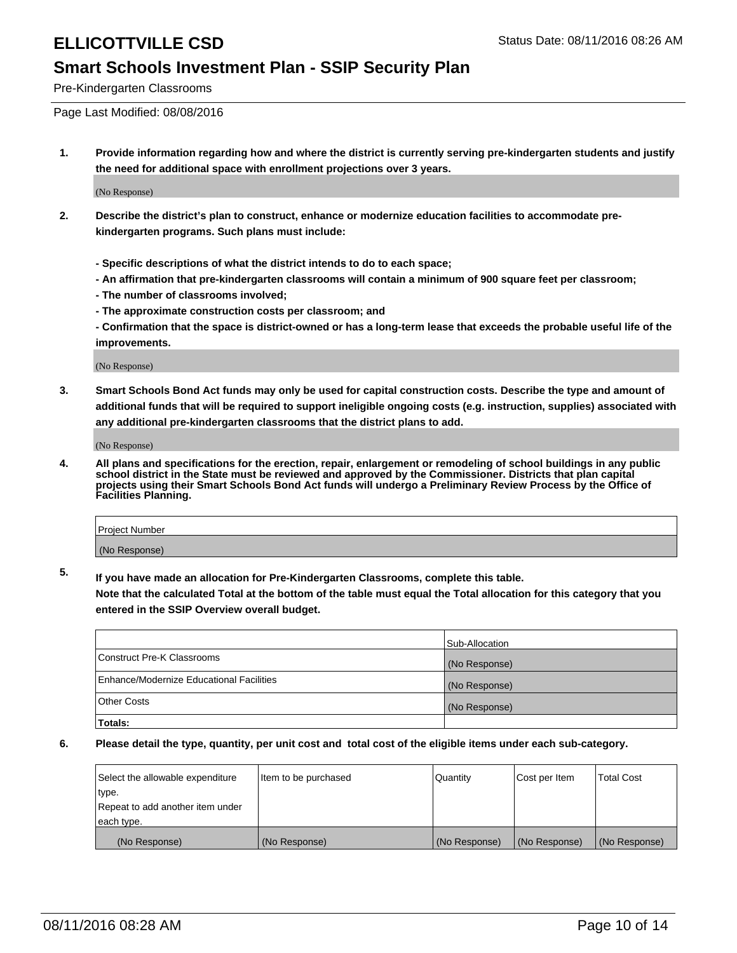#### **Smart Schools Investment Plan - SSIP Security Plan**

Pre-Kindergarten Classrooms

Page Last Modified: 08/08/2016

**1. Provide information regarding how and where the district is currently serving pre-kindergarten students and justify the need for additional space with enrollment projections over 3 years.**

(No Response)

- **2. Describe the district's plan to construct, enhance or modernize education facilities to accommodate prekindergarten programs. Such plans must include:**
	- **Specific descriptions of what the district intends to do to each space;**
	- **An affirmation that pre-kindergarten classrooms will contain a minimum of 900 square feet per classroom;**
	- **The number of classrooms involved;**
	- **The approximate construction costs per classroom; and**
	- **Confirmation that the space is district-owned or has a long-term lease that exceeds the probable useful life of the improvements.**

(No Response)

**3. Smart Schools Bond Act funds may only be used for capital construction costs. Describe the type and amount of additional funds that will be required to support ineligible ongoing costs (e.g. instruction, supplies) associated with any additional pre-kindergarten classrooms that the district plans to add.**

(No Response)

**4. All plans and specifications for the erection, repair, enlargement or remodeling of school buildings in any public school district in the State must be reviewed and approved by the Commissioner. Districts that plan capital projects using their Smart Schools Bond Act funds will undergo a Preliminary Review Process by the Office of Facilities Planning.**

| <b>Project Number</b> |  |
|-----------------------|--|
| (No Response)         |  |

**5. If you have made an allocation for Pre-Kindergarten Classrooms, complete this table.**

**Note that the calculated Total at the bottom of the table must equal the Total allocation for this category that you entered in the SSIP Overview overall budget.**

|                                          | Sub-Allocation |
|------------------------------------------|----------------|
| Construct Pre-K Classrooms               | (No Response)  |
| Enhance/Modernize Educational Facilities | (No Response)  |
| <b>Other Costs</b>                       | (No Response)  |
| Totals:                                  |                |

| Select the allowable expenditure | litem to be purchased | Quantity      | Cost per Item | <b>Total Cost</b> |
|----------------------------------|-----------------------|---------------|---------------|-------------------|
| type.                            |                       |               |               |                   |
| Repeat to add another item under |                       |               |               |                   |
| each type.                       |                       |               |               |                   |
| (No Response)                    | (No Response)         | (No Response) | (No Response) | (No Response)     |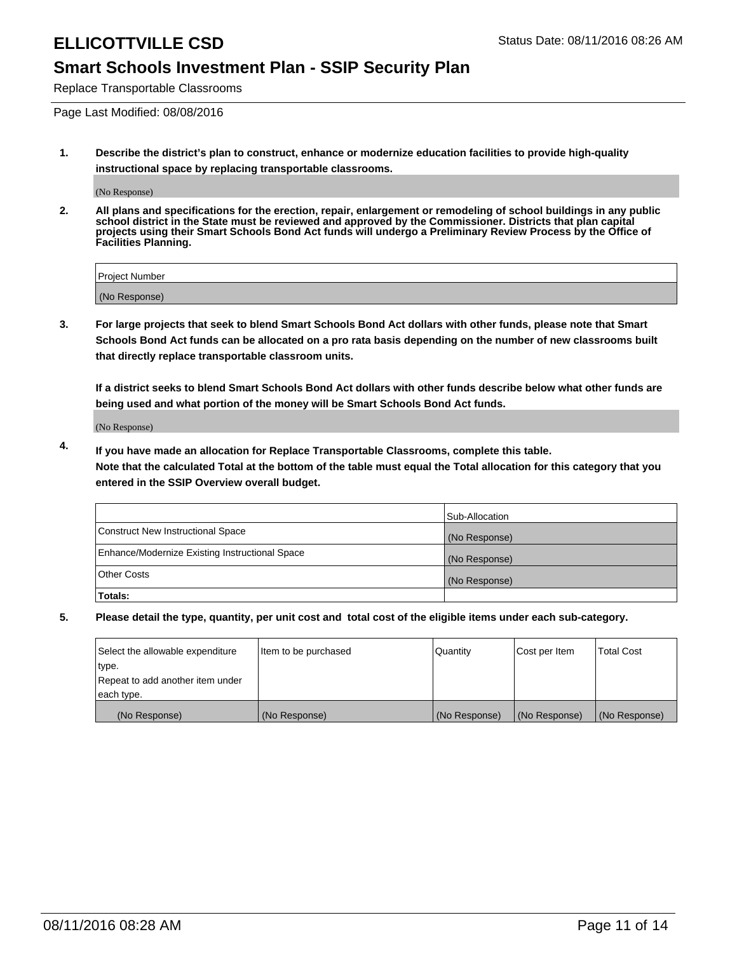### **Smart Schools Investment Plan - SSIP Security Plan**

Replace Transportable Classrooms

Page Last Modified: 08/08/2016

**1. Describe the district's plan to construct, enhance or modernize education facilities to provide high-quality instructional space by replacing transportable classrooms.**

(No Response)

**2. All plans and specifications for the erection, repair, enlargement or remodeling of school buildings in any public school district in the State must be reviewed and approved by the Commissioner. Districts that plan capital projects using their Smart Schools Bond Act funds will undergo a Preliminary Review Process by the Office of Facilities Planning.**

| <b>Project Number</b> |  |
|-----------------------|--|
| (No Response)         |  |

**3. For large projects that seek to blend Smart Schools Bond Act dollars with other funds, please note that Smart Schools Bond Act funds can be allocated on a pro rata basis depending on the number of new classrooms built that directly replace transportable classroom units.**

**If a district seeks to blend Smart Schools Bond Act dollars with other funds describe below what other funds are being used and what portion of the money will be Smart Schools Bond Act funds.**

(No Response)

**4. If you have made an allocation for Replace Transportable Classrooms, complete this table. Note that the calculated Total at the bottom of the table must equal the Total allocation for this category that you entered in the SSIP Overview overall budget.**

|                                                | Sub-Allocation |
|------------------------------------------------|----------------|
| Construct New Instructional Space              | (No Response)  |
| Enhance/Modernize Existing Instructional Space | (No Response)  |
| Other Costs                                    | (No Response)  |
| Totals:                                        |                |

| Select the allowable expenditure | litem to be purchased | Quantity      | Cost per Item | <b>Total Cost</b> |
|----------------------------------|-----------------------|---------------|---------------|-------------------|
| type.                            |                       |               |               |                   |
| Repeat to add another item under |                       |               |               |                   |
| each type.                       |                       |               |               |                   |
| (No Response)                    | (No Response)         | (No Response) | (No Response) | (No Response)     |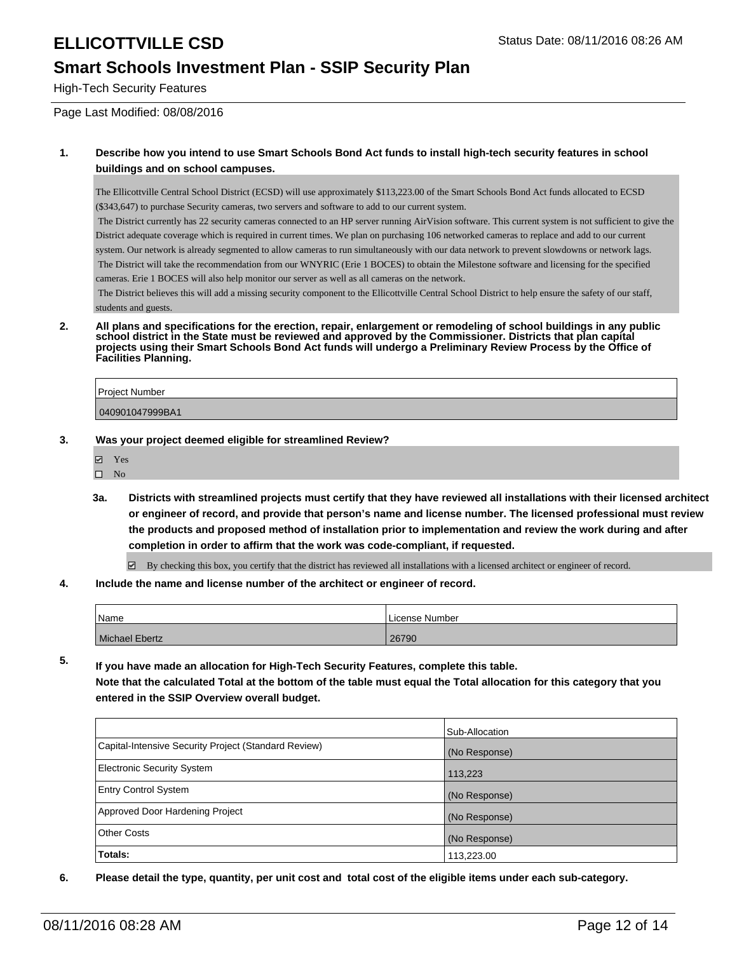### **Smart Schools Investment Plan - SSIP Security Plan**

High-Tech Security Features

Page Last Modified: 08/08/2016

#### **1. Describe how you intend to use Smart Schools Bond Act funds to install high-tech security features in school buildings and on school campuses.**

The Ellicottville Central School District (ECSD) will use approximately \$113,223.00 of the Smart Schools Bond Act funds allocated to ECSD (\$343,647) to purchase Security cameras, two servers and software to add to our current system.

 The District currently has 22 security cameras connected to an HP server running AirVision software. This current system is not sufficient to give the District adequate coverage which is required in current times. We plan on purchasing 106 networked cameras to replace and add to our current system. Our network is already segmented to allow cameras to run simultaneously with our data network to prevent slowdowns or network lags. The District will take the recommendation from our WNYRIC (Erie 1 BOCES) to obtain the Milestone software and licensing for the specified cameras. Erie 1 BOCES will also help monitor our server as well as all cameras on the network.

 The District believes this will add a missing security component to the Ellicottville Central School District to help ensure the safety of our staff, students and guests.

**2. All plans and specifications for the erection, repair, enlargement or remodeling of school buildings in any public school district in the State must be reviewed and approved by the Commissioner. Districts that plan capital projects using their Smart Schools Bond Act funds will undergo a Preliminary Review Process by the Office of Facilities Planning.** 

| Project Number  |  |
|-----------------|--|
| 040901047999BA1 |  |

- **3. Was your project deemed eligible for streamlined Review?**
	- **Ø** Yes
	- $\square$  No
	- **3a. Districts with streamlined projects must certify that they have reviewed all installations with their licensed architect or engineer of record, and provide that person's name and license number. The licensed professional must review the products and proposed method of installation prior to implementation and review the work during and after completion in order to affirm that the work was code-compliant, if requested.**

 $\boxtimes$  By checking this box, you certify that the district has reviewed all installations with a licensed architect or engineer of record.

**4. Include the name and license number of the architect or engineer of record.**

| 'Name                 | License Number |
|-----------------------|----------------|
| <b>Michael Ebertz</b> | 26790          |

**5. If you have made an allocation for High-Tech Security Features, complete this table. Note that the calculated Total at the bottom of the table must equal the Total allocation for this category that you entered in the SSIP Overview overall budget.**

|                                                      | Sub-Allocation |
|------------------------------------------------------|----------------|
| Capital-Intensive Security Project (Standard Review) | (No Response)  |
| <b>Electronic Security System</b>                    | 113,223        |
| <b>Entry Control System</b>                          | (No Response)  |
| Approved Door Hardening Project                      | (No Response)  |
| Other Costs                                          | (No Response)  |
| Totals:                                              | 113,223.00     |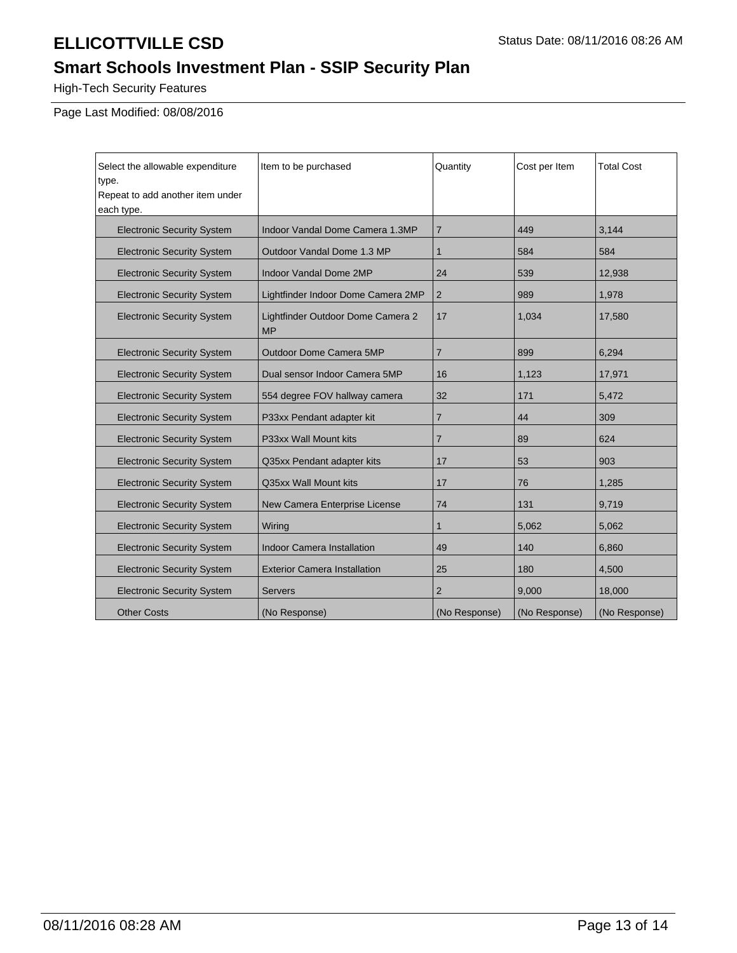# **Smart Schools Investment Plan - SSIP Security Plan**

High-Tech Security Features

Page Last Modified: 08/08/2016

| Select the allowable expenditure<br>type.      | Item to be purchased                           | Quantity       | Cost per Item | <b>Total Cost</b> |
|------------------------------------------------|------------------------------------------------|----------------|---------------|-------------------|
| Repeat to add another item under<br>each type. |                                                |                |               |                   |
| <b>Electronic Security System</b>              | Indoor Vandal Dome Camera 1.3MP                | $\overline{7}$ | 449           | 3,144             |
| <b>Electronic Security System</b>              | Outdoor Vandal Dome 1.3 MP                     | $\mathbf{1}$   | 584           | 584               |
| <b>Electronic Security System</b>              | <b>Indoor Vandal Dome 2MP</b>                  | 24             | 539           | 12,938            |
| <b>Electronic Security System</b>              | Lightfinder Indoor Dome Camera 2MP             | $\overline{2}$ | 989           | 1,978             |
| <b>Electronic Security System</b>              | Lightfinder Outdoor Dome Camera 2<br><b>MP</b> | 17             | 1,034         | 17,580            |
| <b>Electronic Security System</b>              | <b>Outdoor Dome Camera 5MP</b>                 | 7              | 899           | 6,294             |
| <b>Electronic Security System</b>              | Dual sensor Indoor Camera 5MP                  | 16             | 1,123         | 17,971            |
| <b>Electronic Security System</b>              | 554 degree FOV hallway camera                  | 32             | 171           | 5,472             |
| <b>Electronic Security System</b>              | P33xx Pendant adapter kit                      | 7              | 44            | 309               |
| <b>Electronic Security System</b>              | P33xx Wall Mount kits                          | $\overline{7}$ | 89            | 624               |
| <b>Electronic Security System</b>              | Q35xx Pendant adapter kits                     | 17             | 53            | 903               |
| <b>Electronic Security System</b>              | Q35xx Wall Mount kits                          | 17             | 76            | 1,285             |
| <b>Electronic Security System</b>              | New Camera Enterprise License                  | 74             | 131           | 9,719             |
| <b>Electronic Security System</b>              | Wiring                                         | $\mathbf{1}$   | 5,062         | 5,062             |
| <b>Electronic Security System</b>              | <b>Indoor Camera Installation</b>              | 49             | 140           | 6.860             |
| <b>Electronic Security System</b>              | <b>Exterior Camera Installation</b>            | 25             | 180           | 4,500             |
| <b>Electronic Security System</b>              | <b>Servers</b>                                 | $\overline{2}$ | 9,000         | 18,000            |
| <b>Other Costs</b>                             | (No Response)                                  | (No Response)  | (No Response) | (No Response)     |